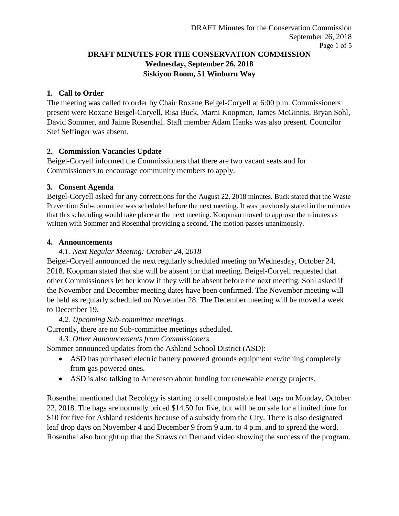## **DRAFT MINUTES FOR THE CONSERVATION COMMISSION Wednesday, September 26, 2018 Siskiyou Room, 51 Winburn Way**

## **1. Call to Order**

The meeting was called to order by Chair Roxane Beigel-Coryell at 6:00 p.m. Commissioners present were Roxane Beigel-Coryell, Risa Buck, Marni Koopman, James McGinnis, Bryan Sohl, David Sommer, and Jaime Rosenthal. Staff member Adam Hanks was also present. Councilor Stef Seffinger was absent.

## **2. Commission Vacancies Update**

Beigel-Coryell informed the Commissioners that there are two vacant seats and for Commissioners to encourage community members to apply.

#### **3. Consent Agenda**

Beigel-Coryell asked for any corrections for the August 22, 2018 minutes. Buck stated that the Waste Prevention Sub-committee was scheduled before the next meeting. It was previously stated in the minutes that this scheduling would take place at the next meeting. Koopman moved to approve the minutes as written with Sommer and Rosenthal providing a second. The motion passes unanimously.

#### **4. Announcements**

## *4.1. Next Regular Meeting: October 24, 2018*

Beigel-Coryell announced the next regularly scheduled meeting on Wednesday, October 24, 2018. Koopman stated that she will be absent for that meeting. Beigel-Coryell requested that other Commissioners let her know if they will be absent before the next meeting. Sohl asked if the November and December meeting dates have been confirmed. The November meeting will be held as regularly scheduled on November 28. The December meeting will be moved a week to December 19.

#### *4.2. Upcoming Sub-committee meetings*

Currently, there are no Sub-committee meetings scheduled.

*4.3. Other Announcements from Commissioners*

Sommer announced updates from the Ashland School District (ASD):

- ASD has purchased electric battery powered grounds equipment switching completely from gas powered ones.
- ASD is also talking to Ameresco about funding for renewable energy projects.

Rosenthal mentioned that Recology is starting to sell compostable leaf bags on Monday, October 22, 2018. The bags are normally priced \$14.50 for five, but will be on sale for a limited time for \$10 for five for Ashland residents because of a subsidy from the City. There is also designated leaf drop days on November 4 and December 9 from 9 a.m. to 4 p.m. and to spread the word. Rosenthal also brought up that the Straws on Demand video showing the success of the program.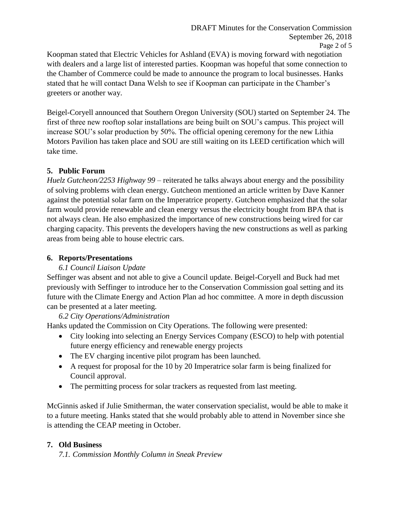Koopman stated that Electric Vehicles for Ashland (EVA) is moving forward with negotiation with dealers and a large list of interested parties. Koopman was hopeful that some connection to the Chamber of Commerce could be made to announce the program to local businesses. Hanks stated that he will contact Dana Welsh to see if Koopman can participate in the Chamber's greeters or another way.

Beigel-Coryell announced that Southern Oregon University (SOU) started on September 24. The first of three new rooftop solar installations are being built on SOU's campus. This project will increase SOU's solar production by 50%. The official opening ceremony for the new Lithia Motors Pavilion has taken place and SOU are still waiting on its LEED certification which will take time.

## **5. Public Forum**

*Huelz Gutcheon/2253 Highway 99* – reiterated he talks always about energy and the possibility of solving problems with clean energy. Gutcheon mentioned an article written by Dave Kanner against the potential solar farm on the Imperatrice property. Gutcheon emphasized that the solar farm would provide renewable and clean energy versus the electricity bought from BPA that is not always clean. He also emphasized the importance of new constructions being wired for car charging capacity. This prevents the developers having the new constructions as well as parking areas from being able to house electric cars.

## **6. Reports/Presentations**

#### *6.1 Council Liaison Update*

Seffinger was absent and not able to give a Council update. Beigel-Coryell and Buck had met previously with Seffinger to introduce her to the Conservation Commission goal setting and its future with the Climate Energy and Action Plan ad hoc committee. A more in depth discussion can be presented at a later meeting.

*6.2 City Operations/Administration*

Hanks updated the Commission on City Operations. The following were presented:

- City looking into selecting an Energy Services Company (ESCO) to help with potential future energy efficiency and renewable energy projects
- The EV charging incentive pilot program has been launched.
- A request for proposal for the 10 by 20 Imperatrice solar farm is being finalized for Council approval.
- The permitting process for solar trackers as requested from last meeting.

McGinnis asked if Julie Smitherman, the water conservation specialist, would be able to make it to a future meeting. Hanks stated that she would probably able to attend in November since she is attending the CEAP meeting in October.

# **7. Old Business**

*7.1. Commission Monthly Column in Sneak Preview*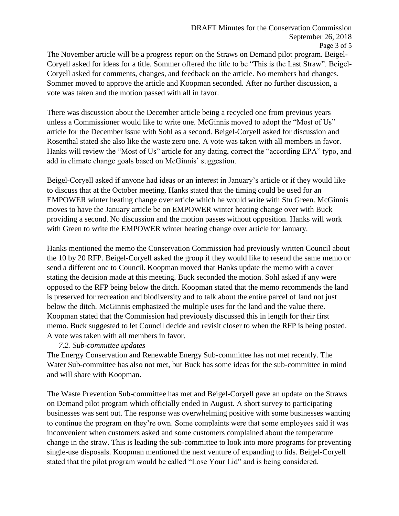The November article will be a progress report on the Straws on Demand pilot program. Beigel-Coryell asked for ideas for a title. Sommer offered the title to be "This is the Last Straw". Beigel-Coryell asked for comments, changes, and feedback on the article. No members had changes. Sommer moved to approve the article and Koopman seconded. After no further discussion, a vote was taken and the motion passed with all in favor.

There was discussion about the December article being a recycled one from previous years unless a Commissioner would like to write one. McGinnis moved to adopt the "Most of Us" article for the December issue with Sohl as a second. Beigel-Coryell asked for discussion and Rosenthal stated she also like the waste zero one. A vote was taken with all members in favor. Hanks will review the "Most of Us" article for any dating, correct the "according EPA" typo, and add in climate change goals based on McGinnis' suggestion.

Beigel-Coryell asked if anyone had ideas or an interest in January's article or if they would like to discuss that at the October meeting. Hanks stated that the timing could be used for an EMPOWER winter heating change over article which he would write with Stu Green. McGinnis moves to have the January article be on EMPOWER winter heating change over with Buck providing a second. No discussion and the motion passes without opposition. Hanks will work with Green to write the EMPOWER winter heating change over article for January.

Hanks mentioned the memo the Conservation Commission had previously written Council about the 10 by 20 RFP. Beigel-Coryell asked the group if they would like to resend the same memo or send a different one to Council. Koopman moved that Hanks update the memo with a cover stating the decision made at this meeting. Buck seconded the motion. Sohl asked if any were opposed to the RFP being below the ditch. Koopman stated that the memo recommends the land is preserved for recreation and biodiversity and to talk about the entire parcel of land not just below the ditch. McGinnis emphasized the multiple uses for the land and the value there. Koopman stated that the Commission had previously discussed this in length for their first memo. Buck suggested to let Council decide and revisit closer to when the RFP is being posted. A vote was taken with all members in favor.

#### *7.2. Sub-committee updates*

The Energy Conservation and Renewable Energy Sub-committee has not met recently. The Water Sub-committee has also not met, but Buck has some ideas for the sub-committee in mind and will share with Koopman.

The Waste Prevention Sub-committee has met and Beigel-Coryell gave an update on the Straws on Demand pilot program which officially ended in August. A short survey to participating businesses was sent out. The response was overwhelming positive with some businesses wanting to continue the program on they're own. Some complaints were that some employees said it was inconvenient when customers asked and some customers complained about the temperature change in the straw. This is leading the sub-committee to look into more programs for preventing single-use disposals. Koopman mentioned the next venture of expanding to lids. Beigel-Coryell stated that the pilot program would be called "Lose Your Lid" and is being considered.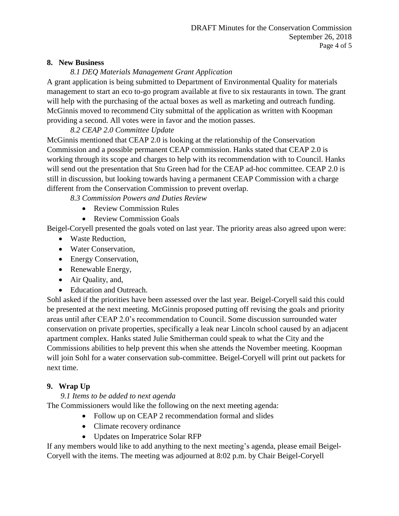### **8. New Business**

# *8.1 DEQ Materials Management Grant Application*

A grant application is being submitted to Department of Environmental Quality for materials management to start an eco to-go program available at five to six restaurants in town. The grant will help with the purchasing of the actual boxes as well as marketing and outreach funding. McGinnis moved to recommend City submittal of the application as written with Koopman providing a second. All votes were in favor and the motion passes.

# *8.2 CEAP 2.0 Committee Update*

McGinnis mentioned that CEAP 2.0 is looking at the relationship of the Conservation Commission and a possible permanent CEAP commission. Hanks stated that CEAP 2.0 is working through its scope and charges to help with its recommendation with to Council. Hanks will send out the presentation that Stu Green had for the CEAP ad-hoc committee. CEAP 2.0 is still in discussion, but looking towards having a permanent CEAP Commission with a charge different from the Conservation Commission to prevent overlap.

*8.3 Commission Powers and Duties Review*

- Review Commission Rules
- Review Commission Goals

Beigel-Coryell presented the goals voted on last year. The priority areas also agreed upon were:

- Waste Reduction,
- Water Conservation,
- Energy Conservation,
- Renewable Energy,
- Air Quality, and,
- Education and Outreach.

Sohl asked if the priorities have been assessed over the last year. Beigel-Coryell said this could be presented at the next meeting. McGinnis proposed putting off revising the goals and priority areas until after CEAP 2.0's recommendation to Council. Some discussion surrounded water conservation on private properties, specifically a leak near Lincoln school caused by an adjacent apartment complex. Hanks stated Julie Smitherman could speak to what the City and the Commissions abilities to help prevent this when she attends the November meeting. Koopman will join Sohl for a water conservation sub-committee. Beigel-Coryell will print out packets for next time.

# **9. Wrap Up**

# *9.1 Items to be added to next agenda*

The Commissioners would like the following on the next meeting agenda:

- Follow up on CEAP 2 recommendation formal and slides
- Climate recovery ordinance
- Updates on Imperatrice Solar RFP

If any members would like to add anything to the next meeting's agenda, please email Beigel-Coryell with the items. The meeting was adjourned at 8:02 p.m. by Chair Beigel-Coryell